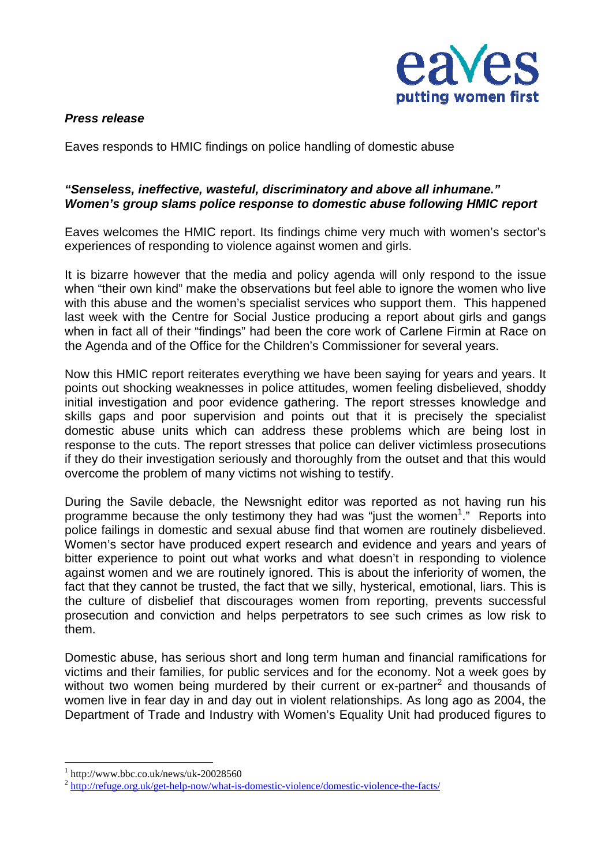

## *Press release*

Eaves responds to HMIC findings on police handling of domestic abuse

## *"Senseless, ineffective, wasteful, discriminatory and above all inhumane." Women's group slams police response to domestic abuse following HMIC report*

Eaves welcomes the HMIC report. Its findings chime very much with women's sector's experiences of responding to violence against women and girls.

It is bizarre however that the media and policy agenda will only respond to the issue when "their own kind" make the observations but feel able to ignore the women who live with this abuse and the women's specialist services who support them. This happened last week with the Centre for Social Justice producing a report about girls and gangs when in fact all of their "findings" had been the core work of Carlene Firmin at Race on the Agenda and of the Office for the Children's Commissioner for several years.

Now this HMIC report reiterates everything we have been saying for years and years. It points out shocking weaknesses in police attitudes, women feeling disbelieved, shoddy initial investigation and poor evidence gathering. The report stresses knowledge and skills gaps and poor supervision and points out that it is precisely the specialist domestic abuse units which can address these problems which are being lost in response to the cuts. The report stresses that police can deliver victimless prosecutions if they do their investigation seriously and thoroughly from the outset and that this would overcome the problem of many victims not wishing to testify.

During the Savile debacle, the Newsnight editor was reported as not having run his programme because the only testimony they had was "just the women<sup>1</sup>." Reports into police failings in domestic and sexual abuse find that women are routinely disbelieved. Women's sector have produced expert research and evidence and years and years of bitter experience to point out what works and what doesn't in responding to violence against women and we are routinely ignored. This is about the inferiority of women, the fact that they cannot be trusted, the fact that we silly, hysterical, emotional, liars. This is the culture of disbelief that discourages women from reporting, prevents successful prosecution and conviction and helps perpetrators to see such crimes as low risk to them.

Domestic abuse, has serious short and long term human and financial ramifications for victims and their families, for public services and for the economy. Not a week goes by without two women being murdered by their current or  $ex$ -partner $2$  and thousands of women live in fear day in and day out in violent relationships. As long ago as 2004, the Department of Trade and Industry with Women's Equality Unit had produced figures to

 $\overline{a}$ 

<sup>1</sup> http://www.bbc.co.uk/news/uk-20028560

<sup>2</sup> http://refuge.org.uk/get-help-now/what-is-domestic-violence/domestic-violence-the-facts/